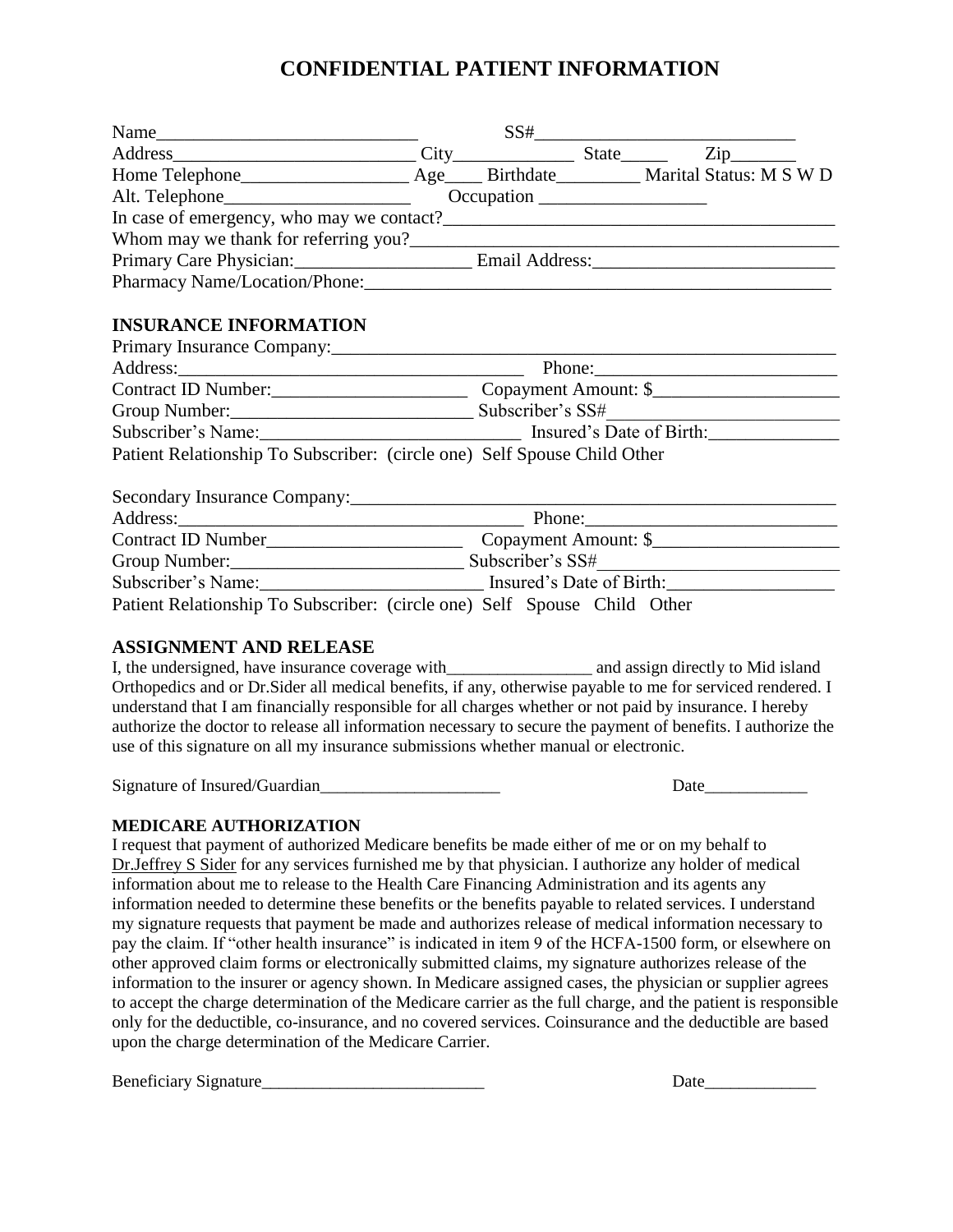## **CONFIDENTIAL PATIENT INFORMATION**

|                                                                                                               |                                                                                                      |                                                                                                      |  | $SS# \_\_$ |  |
|---------------------------------------------------------------------------------------------------------------|------------------------------------------------------------------------------------------------------|------------------------------------------------------------------------------------------------------|--|------------|--|
| Address City State Zip                                                                                        |                                                                                                      |                                                                                                      |  |            |  |
|                                                                                                               |                                                                                                      |                                                                                                      |  |            |  |
|                                                                                                               |                                                                                                      |                                                                                                      |  |            |  |
|                                                                                                               |                                                                                                      |                                                                                                      |  |            |  |
|                                                                                                               |                                                                                                      |                                                                                                      |  |            |  |
|                                                                                                               |                                                                                                      |                                                                                                      |  |            |  |
| Pharmacy Name/Location/Phone: 2008 2009 2009 2010 2020 2020 2021 2022 2023 2020 2021 2022 2023 2024 2022 2023 |                                                                                                      |                                                                                                      |  |            |  |
| <b>INSURANCE INFORMATION</b>                                                                                  |                                                                                                      |                                                                                                      |  |            |  |
|                                                                                                               |                                                                                                      |                                                                                                      |  |            |  |
|                                                                                                               | Contract ID Number: Copayment Amount: \$                                                             |                                                                                                      |  |            |  |
|                                                                                                               |                                                                                                      |                                                                                                      |  |            |  |
|                                                                                                               | Subscriber's Name: ___________________________________ Insured's Date of Birth: ____________________ |                                                                                                      |  |            |  |
| Patient Relationship To Subscriber: (circle one) Self Spouse Child Other                                      |                                                                                                      |                                                                                                      |  |            |  |
|                                                                                                               |                                                                                                      |                                                                                                      |  |            |  |
|                                                                                                               |                                                                                                      |                                                                                                      |  |            |  |
|                                                                                                               |                                                                                                      |                                                                                                      |  |            |  |
|                                                                                                               |                                                                                                      |                                                                                                      |  |            |  |
|                                                                                                               |                                                                                                      | Subscriber's Name: _________________________________ Insured's Date of Birth: ______________________ |  |            |  |
| Patient Relationship To Subscriber: (circle one) Self Spouse Child Other                                      |                                                                                                      |                                                                                                      |  |            |  |
| A COLONIA LENTE A NIN DELLE A CE                                                                              |                                                                                                      |                                                                                                      |  |            |  |

## **ASSIGNMENT AND RELEASE**

I, the undersigned, have insurance coverage with \_\_\_\_\_\_\_\_\_\_\_\_\_\_\_\_\_\_\_\_ and assign directly to Mid island Orthopedics and or Dr.Sider all medical benefits, if any, otherwise payable to me for serviced rendered. I understand that I am financially responsible for all charges whether or not paid by insurance. I hereby authorize the doctor to release all information necessary to secure the payment of benefits. I authorize the use of this signature on all my insurance submissions whether manual or electronic.

Signature of Insured/Guardian Date

## **MEDICARE AUTHORIZATION**

I request that payment of authorized Medicare benefits be made either of me or on my behalf to Dr.Jeffrey S Sider for any services furnished me by that physician. I authorize any holder of medical information about me to release to the Health Care Financing Administration and its agents any information needed to determine these benefits or the benefits payable to related services. I understand my signature requests that payment be made and authorizes release of medical information necessary to pay the claim. If "other health insurance" is indicated in item 9 of the HCFA-1500 form, or elsewhere on other approved claim forms or electronically submitted claims, my signature authorizes release of the information to the insurer or agency shown. In Medicare assigned cases, the physician or supplier agrees to accept the charge determination of the Medicare carrier as the full charge, and the patient is responsible only for the deductible, co-insurance, and no covered services. Coinsurance and the deductible are based upon the charge determination of the Medicare Carrier.

Beneficiary Signature Date